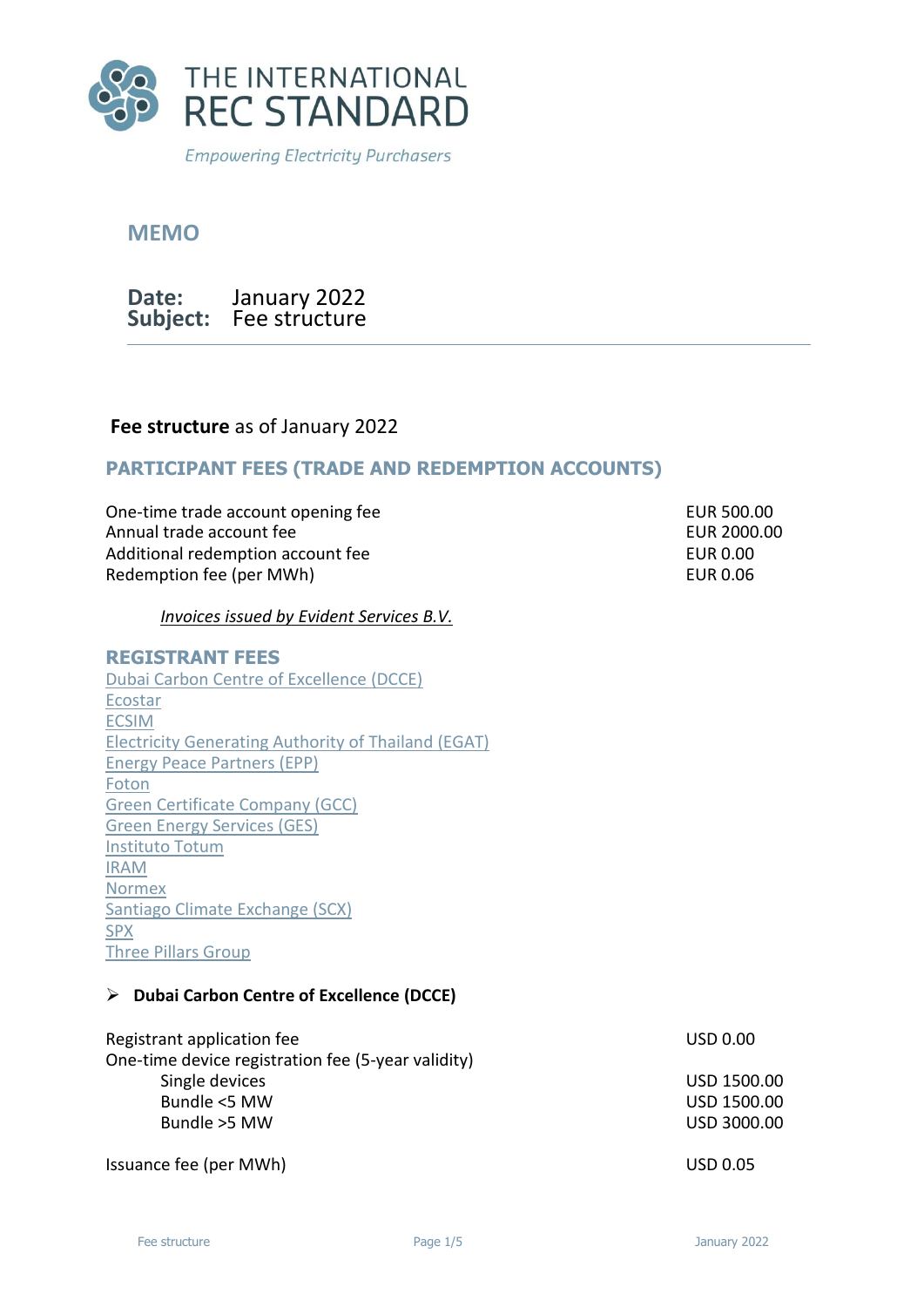

**MEMO**

**Date: Subject:** Fee structure January 2022

### **Fee structure** as of January 2022

## **PARTICIPANT FEES (TRADE AND REDEMPTION ACCOUNTS)**

One-time trade account opening fee EUR 500.00 Annual trade account fee **EUR** 2000.00 Additional redemption account fee EUR 0.00 Redemption fee (per MWh) EUR 0.06

*Invoices issued by Evident Services B.V.*

#### **REGISTRANT FEES**

[Dubai Carbon Centre of Excellence \(DCCE\)](#page-0-0) [Ecostar](#page-1-0) [ECSIM](#page-1-0) [Electricity Generating Authority of Thailand \(EGAT\)](#page-1-1) [Energy Peace Partners \(EPP\)](#page-1-2) [Foton](#page-2-0) [Green Certificate Company \(GCC\)](#page-2-1) [Green Energy Services \(GES\)](#page-2-2) [Instituto Totum](#page-2-3) [IRAM](#page-3-0) [Normex](#page-3-1) [Santiago Climate Exchange \(SCX\)](#page-3-2) [SPX](#page-4-0) [Three Pillars Group](#page-4-1)

#### <span id="page-0-0"></span>➢ **Dubai Carbon Centre of Excellence (DCCE)**

Registrant application fee USD 0.00 One-time device registration fee (5-year validity) Single devices and the state of the state of the USD 1500.00 USD 1500.00 Bundle <5 MW USD 1500.00 Bundle >5 MW USD 3000.00

Issuance fee (per MWh) USD 0.05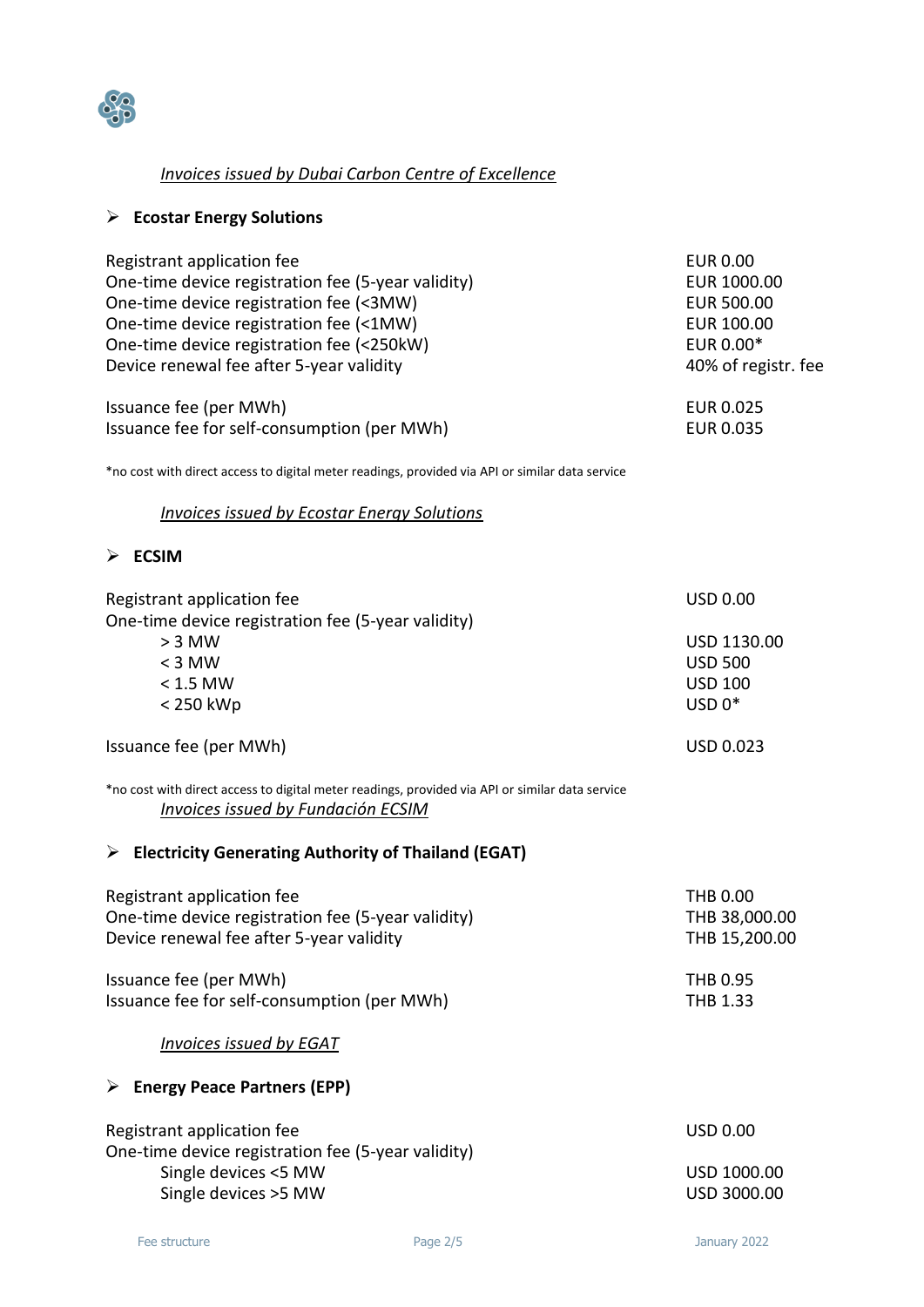

# *Invoices issued by Dubai Carbon Centre of Excellence*

# <span id="page-1-0"></span>➢ **Ecostar Energy Solutions**

| Registrant application fee                         | <b>EUR 0.00</b>     |
|----------------------------------------------------|---------------------|
| One-time device registration fee (5-year validity) | EUR 1000.00         |
| One-time device registration fee (<3MW)            | <b>EUR 500.00</b>   |
| One-time device registration fee (<1MW)            | EUR 100.00          |
| One-time device registration fee (<250kW)          | EUR 0.00*           |
| Device renewal fee after 5-year validity           | 40% of registr. fee |
| Issuance fee (per MWh)                             | EUR 0.025           |
| Issuance fee for self-consumption (per MWh)        | EUR 0.035           |

\*no cost with direct access to digital meter readings, provided via API or similar data service

### *Invoices issued by Ecostar Energy Solutions*

### ➢ **ECSIM**

<span id="page-1-2"></span><span id="page-1-1"></span>

| Registrant application fee                                                                                                                   | <b>USD 0.00</b>  |
|----------------------------------------------------------------------------------------------------------------------------------------------|------------------|
| One-time device registration fee (5-year validity)                                                                                           |                  |
| $> 3$ MW                                                                                                                                     | USD 1130.00      |
| $<$ 3 MW                                                                                                                                     | <b>USD 500</b>   |
| $< 1.5$ MW                                                                                                                                   | <b>USD 100</b>   |
| < 250 kWp                                                                                                                                    | $USD 0*$         |
| Issuance fee (per MWh)                                                                                                                       | <b>USD 0.023</b> |
| *no cost with direct access to digital meter readings, provided via API or similar data service<br><b>Invoices issued by Fundación ECSIM</b> |                  |
| $\triangleright$ Electricity Generating Authority of Thailand (EGAT)                                                                         |                  |
| Registrant application fee                                                                                                                   | <b>THB 0.00</b>  |
| One-time device registration fee (5-year validity)                                                                                           | THB 38,000.00    |
| Device renewal fee after 5-year validity                                                                                                     | THB 15,200.00    |
| Issuance fee (per MWh)                                                                                                                       | THB 0.95         |
| Issuance fee for self-consumption (per MWh)                                                                                                  | THB 1.33         |
| <b>Invoices issued by EGAT</b>                                                                                                               |                  |
| $\triangleright$ Energy Peace Partners (EPP)                                                                                                 |                  |
| Registrant application fee                                                                                                                   | <b>USD 0.00</b>  |
| One-time device registration fee (5-year validity)                                                                                           |                  |
| Single devices <5 MW                                                                                                                         | USD 1000.00      |
| Single devices >5 MW                                                                                                                         | USD 3000.00      |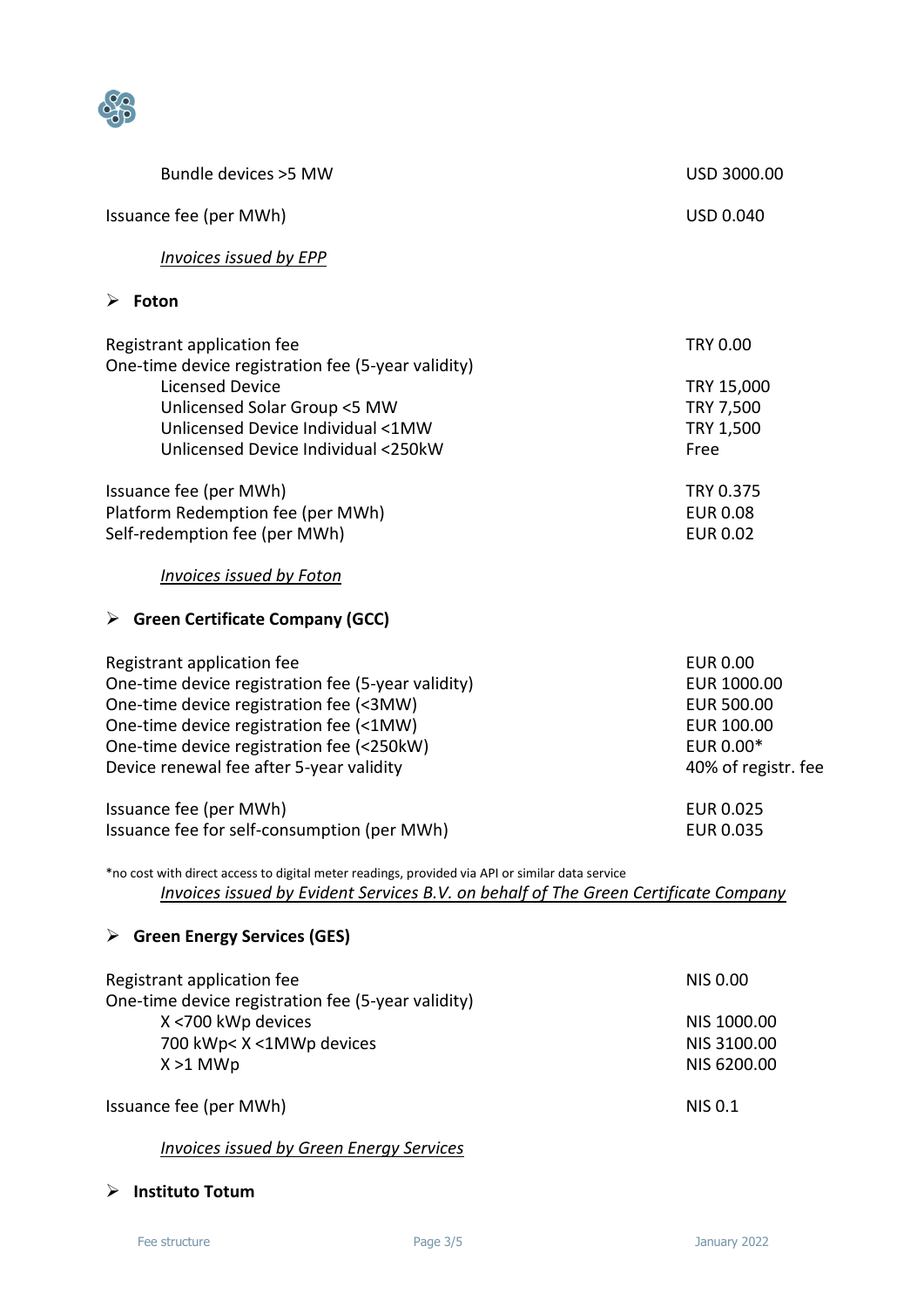

<span id="page-2-1"></span><span id="page-2-0"></span>

| Bundle devices > 5MW                                                                                                                                                                                                                                            | USD 3000.00                                                                                           |
|-----------------------------------------------------------------------------------------------------------------------------------------------------------------------------------------------------------------------------------------------------------------|-------------------------------------------------------------------------------------------------------|
| Issuance fee (per MWh)                                                                                                                                                                                                                                          | <b>USD 0.040</b>                                                                                      |
| Invoices issued by EPP                                                                                                                                                                                                                                          |                                                                                                       |
| $\triangleright$ Foton                                                                                                                                                                                                                                          |                                                                                                       |
| Registrant application fee<br>One-time device registration fee (5-year validity)<br><b>Licensed Device</b><br>Unlicensed Solar Group <5 MW                                                                                                                      | <b>TRY 0.00</b><br>TRY 15,000<br>TRY 7,500                                                            |
| Unlicensed Device Individual <1MW<br>Unlicensed Device Individual <250kW                                                                                                                                                                                        | TRY 1,500<br>Free                                                                                     |
| Issuance fee (per MWh)<br>Platform Redemption fee (per MWh)<br>Self-redemption fee (per MWh)                                                                                                                                                                    | TRY 0.375<br><b>EUR 0.08</b><br><b>EUR 0.02</b>                                                       |
| <b>Invoices issued by Foton</b><br>$\triangleright$ Green Certificate Company (GCC)                                                                                                                                                                             |                                                                                                       |
|                                                                                                                                                                                                                                                                 |                                                                                                       |
| Registrant application fee<br>One-time device registration fee (5-year validity)<br>One-time device registration fee (<3MW)<br>One-time device registration fee (<1MW)<br>One-time device registration fee (<250kW)<br>Device renewal fee after 5-year validity | <b>EUR 0.00</b><br>EUR 1000.00<br><b>EUR 500.00</b><br>EUR 100.00<br>EUR 0.00*<br>40% of registr. fee |
| Issuance fee (per MWh)<br>Issuance fee for self-consumption (per MWh)                                                                                                                                                                                           | <b>EUR 0.025</b><br><b>EUR 0.035</b>                                                                  |
| *no cost with direct access to digital meter readings, provided via API or similar data service<br><b>Invoices issued by Evident Services B.V. on behalf of The Green Certificate Company</b>                                                                   |                                                                                                       |
| $\triangleright$ Green Energy Services (GES)                                                                                                                                                                                                                    |                                                                                                       |
| Registrant application fee<br>One-time device registration fee (5-year validity)                                                                                                                                                                                | <b>NIS 0.00</b>                                                                                       |
| X <700 kWp devices<br>700 kWp< X <1MWp devices<br>$X > 1$ MWp                                                                                                                                                                                                   | NIS 1000.00<br>NIS 3100.00<br>NIS 6200.00                                                             |
| Issuance fee (per MWh)                                                                                                                                                                                                                                          | <b>NIS 0.1</b>                                                                                        |
| <b>Invoices issued by Green Energy Services</b>                                                                                                                                                                                                                 |                                                                                                       |

# <span id="page-2-3"></span><span id="page-2-2"></span>➢ **Instituto Totum**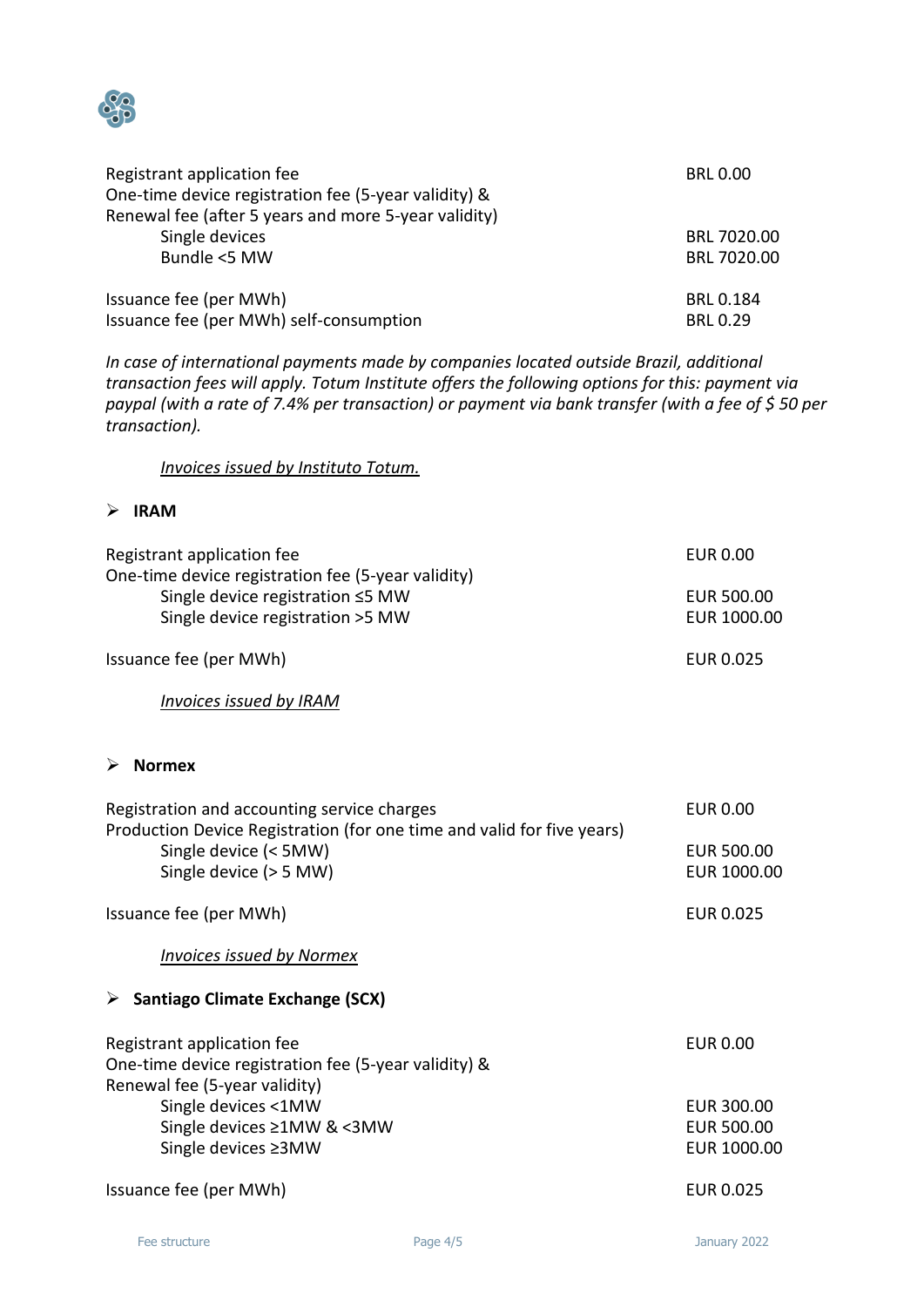

| Registrant application fee                           | <b>BRL 0.00</b>  |
|------------------------------------------------------|------------------|
| One-time device registration fee (5-year validity) & |                  |
| Renewal fee (after 5 years and more 5-year validity) |                  |
| Single devices                                       | BRL 7020.00      |
| Bundle <5 MW                                         | BRL 7020.00      |
| Issuance fee (per MWh)                               | <b>BRL 0.184</b> |
| Issuance fee (per MWh) self-consumption              | <b>BRL 0.29</b>  |

*In case of international payments made by companies located outside Brazil, additional transaction fees will apply. Totum Institute offers the following options for this: payment via paypal (with a rate of 7.4% per transaction) or payment via bank transfer (with a fee of \$ 50 per transaction).*

*Invoices issued by Instituto Totum.* 

#### <span id="page-3-0"></span>➢ **IRAM**

<span id="page-3-2"></span><span id="page-3-1"></span>

| Registrant application fee<br>One-time device registration fee (5-year validity)<br>Single device registration ≤5 MW<br>Single device registration >5 MW                 | <b>EUR 0.00</b>                                |
|--------------------------------------------------------------------------------------------------------------------------------------------------------------------------|------------------------------------------------|
|                                                                                                                                                                          | <b>EUR 500.00</b><br>EUR 1000.00               |
| Issuance fee (per MWh)                                                                                                                                                   | <b>EUR 0.025</b>                               |
| <b>Invoices issued by IRAM</b>                                                                                                                                           |                                                |
| $\triangleright$ Normex                                                                                                                                                  |                                                |
| Registration and accounting service charges<br>Production Device Registration (for one time and valid for five years)<br>Single device (< 5MW)<br>Single device (> 5 MW) | <b>EUR 0.00</b>                                |
|                                                                                                                                                                          | <b>EUR 500.00</b><br>EUR 1000.00               |
| Issuance fee (per MWh)                                                                                                                                                   | <b>EUR 0.025</b>                               |
| <b>Invoices issued by Normex</b>                                                                                                                                         |                                                |
| $\triangleright$ Santiago Climate Exchange (SCX)                                                                                                                         |                                                |
| Registrant application fee<br>One-time device registration fee (5-year validity) &<br>Renewal fee (5-year validity)                                                      | <b>EUR 0.00</b>                                |
| Single devices <1MW<br>Single devices ≥1MW & <3MW<br>Single devices ≥3MW                                                                                                 | <b>EUR 300.00</b><br>EUR 500.00<br>EUR 1000.00 |
| Issuance fee (per MWh)                                                                                                                                                   | <b>EUR 0.025</b>                               |